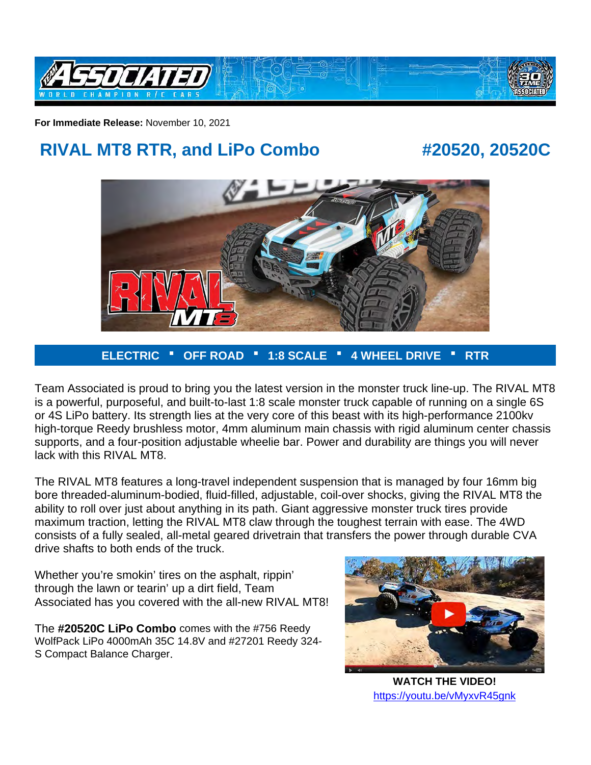

**For Immediate Release:** November 10, 2021

# **RIVAL MT8 RTR, and LiPo Combo #20520, 20520C**



#### **ELECTRIC ■ OFF ROAD ■ 1:8 SCALE ■ 4 WHEEL DRIVE ■ RTR**

Team Associated is proud to bring you the latest version in the monster truck line-up. The RIVAL MT8 is a powerful, purposeful, and built-to-last 1:8 scale monster truck capable of running on a single 6S or 4S LiPo battery. Its strength lies at the very core of this beast with its high-performance 2100kv high-torque Reedy brushless motor, 4mm aluminum main chassis with rigid aluminum center chassis supports, and a four-position adjustable wheelie bar. Power and durability are things you will never lack with this RIVAL MT8.

The RIVAL MT8 features a long-travel independent suspension that is managed by four 16mm big bore threaded-aluminum-bodied, fluid-filled, adjustable, coil-over shocks, giving the RIVAL MT8 the ability to roll over just about anything in its path. Giant aggressive monster truck tires provide maximum traction, letting the RIVAL MT8 claw through the toughest terrain with ease. The 4WD consists of a fully sealed, all-metal geared drivetrain that transfers the power through durable CVA drive shafts to both ends of the truck.

Whether you're smokin' tires on the asphalt, rippin' through the lawn or tearin' up a dirt field, Team Associated has you covered with the all-new RIVAL MT8!

The **#20520C LiPo Combo** comes with the #756 Reedy WolfPack LiPo 4000mAh 35C 14.8V and #27201 Reedy 324- S Compact Balance Charger.



**WATCH THE VIDEO!** <https://youtu.be/vMyxvR45gnk>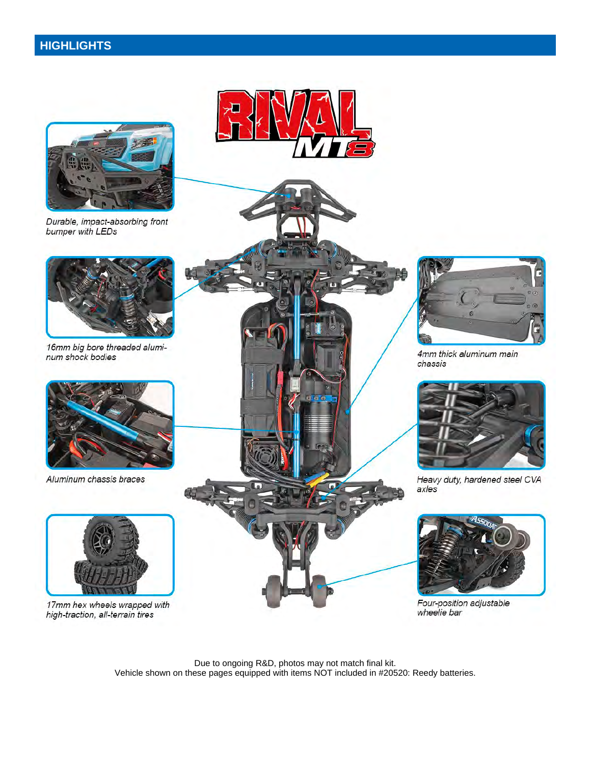# **HIGHLIGHTS**



Durable, impact-absorbing front bumper with LEDs



16mm big bore threaded alumi-<br>num shock bodies



Aluminum chassis braces



17mm hex wheels wrapped with high-traction, all-terrain tires





4mm thick aluminum main chassis



Heavy duty, hardened steel CVA axles



Four-position adjustable<br>wheelie bar

Due to ongoing R&D, photos may not match final kit.<br>Vehicle shown on these pages equipped with items NOT included in #20520: Reedy batteries.